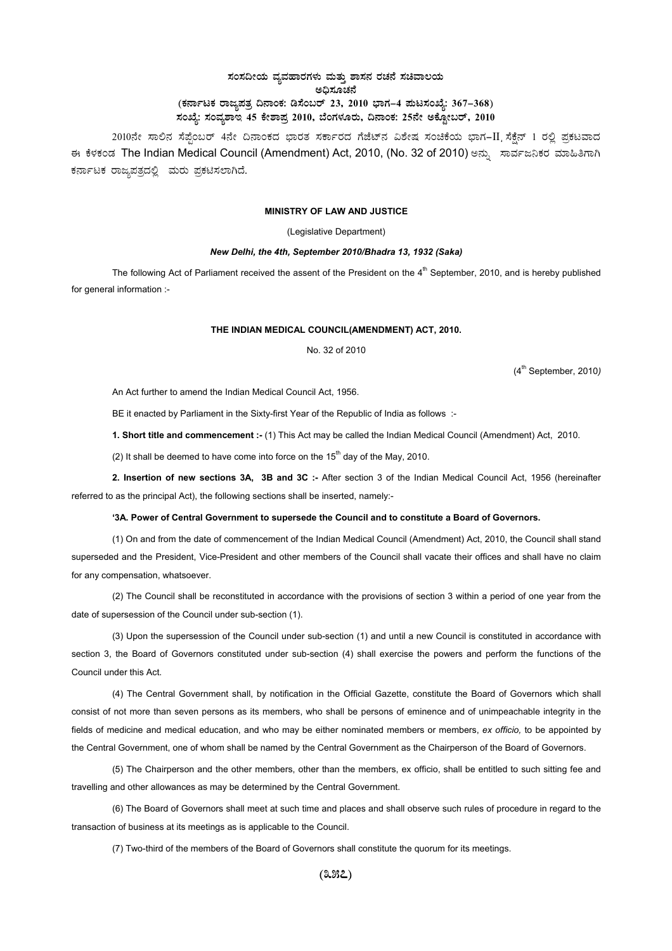# $\,$ ಸಂಸದೀಯ ವ್ಯವಹಾರಗಳು ಮತ್ತು ಶಾಸನ ರಚನೆ ಸಚಿವಾಲಯ ಅಧಿಸೂಚನೆ (ಕರ್ನಾಟಕ ರಾಜ್ಯಪತ್ರ ದಿನಾಂಕ: ಡಿಸೆಂಬರ್ 23, 2010 ಭಾಗ–4 **ಪುಟಸಂಖ್ಯೆ: 367–368**) ಸಂಖ್ಯೆ: ಸಂವ್ಯಶಾಇ 45 ಕೇಶಾಪ್ರ 2010, ಬೆಂಗಳೂರು, ದಿನಾಂಕ: 25ನೇ ಅಕ್ಟೋಬರ್, 2010 <sub>-</sub>

2010ನೇ ಸಾಲಿನ ಸೆಪ್ಪೆಂಬರ್ 4ನೇ ದಿನಾಂಕದ ಭಾರತ ಸರ್ಕಾರದ ಗೆಜೆಟ್ನ ವಿಶೇಷ ಸಂಚಿಕೆಯ ಭಾಗ-II ಸೆಕ್ಷೆನ್ 1 ರಲ್ಲಿ ಪ್ರಕಟವಾದ ಈ ಕೆಳಕಂಡ The Indian Medical Council (Amendment) Act, 2010, (No. 32 of 2010) ಅನ್ಸು ಸಾರ್ವಜನಿಕರ ಮಾಹಿತಿಗಾಗಿ ಕರ್ನಾಟಕ ರಾಜ್ಯಪತ್ರದಲ್ಲಿ ಮರು ಪ್ರಕಟಿಸಲಾಗಿದೆ.

#### **MINISTRY OF LAW AND JUSTICE**

(Legislative Department)

### *New Delhi, the 4th, September 2010/Bhadra 13, 1932 (Saka)*

The following Act of Parliament received the assent of the President on the  $4<sup>th</sup>$  September, 2010, and is hereby published for general information :-

## **THE INDIAN MEDICAL COUNCIL(AMENDMENT) ACT, 2010.**

No. 32 of 2010

(4th September, 2010*)*

An Act further to amend the Indian Medical Council Act, 1956.

BE it enacted by Parliament in the Sixty-first Year of the Republic of India as follows :-

**1. Short title and commencement :-** (1) This Act may be called the Indian Medical Council (Amendment) Act, 2010.

(2) It shall be deemed to have come into force on the  $15<sup>th</sup>$  day of the May, 2010.

**2. Insertion of new sections 3A, 3B and 3C :-** After section 3 of the Indian Medical Council Act, 1956 (hereinafter referred to as the principal Act), the following sections shall be inserted, namely:-

#### **'3A. Power of Central Government to supersede the Council and to constitute a Board of Governors.**

(1) On and from the date of commencement of the Indian Medical Council (Amendment) Act, 2010, the Council shall stand superseded and the President, Vice-President and other members of the Council shall vacate their offices and shall have no claim for any compensation, whatsoever.

(2) The Council shall be reconstituted in accordance with the provisions of section 3 within a period of one year from the date of supersession of the Council under sub-section (1).

(3) Upon the supersession of the Council under sub-section (1) and until a new Council is constituted in accordance with section 3, the Board of Governors constituted under sub-section (4) shall exercise the powers and perform the functions of the Council under this Act.

(4) The Central Government shall, by notification in the Official Gazette, constitute the Board of Governors which shall consist of not more than seven persons as its members, who shall be persons of eminence and of unimpeachable integrity in the fields of medicine and medical education, and who may be either nominated members or members, *ex officio,* to be appointed by the Central Government, one of whom shall be named by the Central Government as the Chairperson of the Board of Governors.

(5) The Chairperson and the other members, other than the members, ex officio, shall be entitled to such sitting fee and travelling and other allowances as may be determined by the Central Government.

(6) The Board of Governors shall meet at such time and places and shall observe such rules of procedure in regard to the transaction of business at its meetings as is applicable to the Council.

(7) Two-third of the members of the Board of Governors shall constitute the quorum for its meetings.

**(357)**